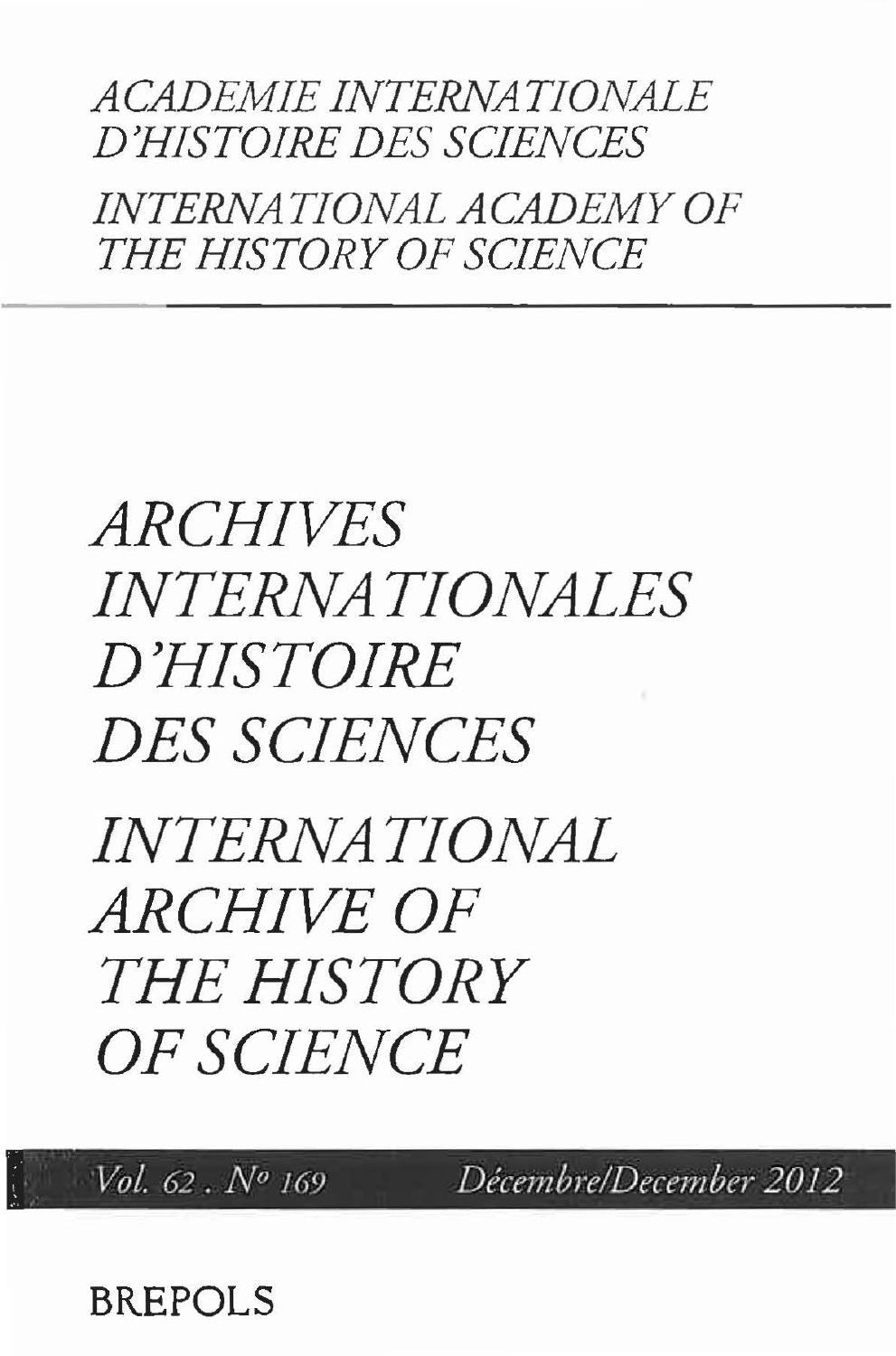## *ACADEMIE INTERNATIONALE D'HISTOIRE DES SCIENCES INTERNATIONAL ACADEMY OF THE HISTORY OF SCIENCE*

## *ARCHIVES INTERNATIONALES D'HISTOIRE DES SCIENCES*

*INTERNATIONAL ARCHIVE OF THE HISTORY OF SCIENCE* 

. -

**BREPOLS** 

,: *Vol. 62. No <sup>169</sup> Décembre/December2012*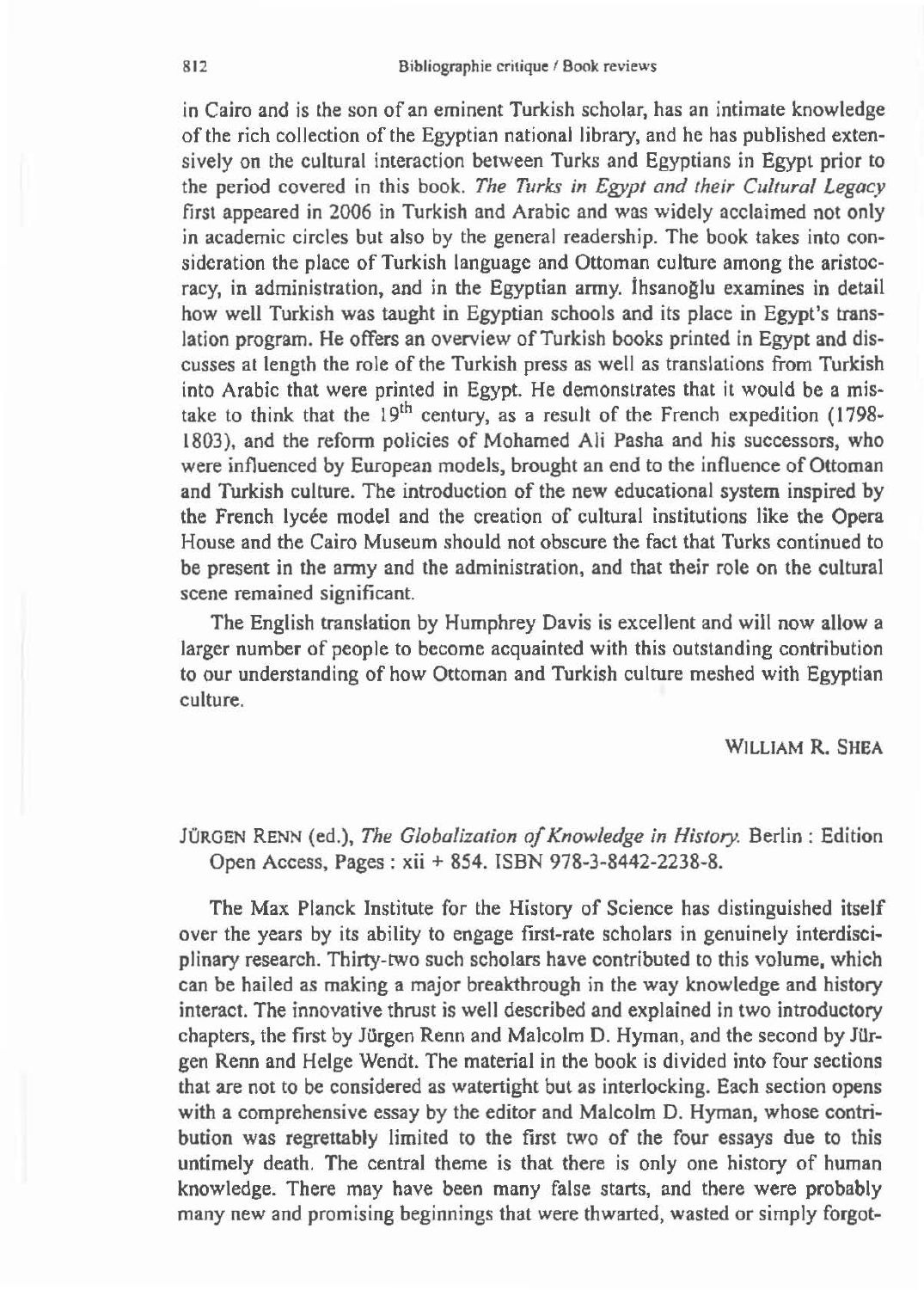in Cairo and is the son of an eminent Turkish scholar, has an intimate knowledge of the rich collection of the Egyptian national library, and he has published extensively on the cultural interaction between Turks and Egyptians in Egypt prior to the period covered in this book. *The Turks in Egypt and their Cultural Legacy*  first appeared in 2006 in Turkish and Arabic and was widely acclaimed not only in academic circles but also by the general readership. The book takes into consideration the place of Turkish language and Ottoman culture among the aristocracy, in administration, and in the Egyptian army. İhsanoğlu examines in detail how well Turkish was taught in Egyptian schools and its place in Egypt's translation program. He offers an overview of Turkish books printed in Egypt and discusses at length the role of the Turkish press as well as translations from Turkish into Arabic that were printed in Egypt. He demonstrates that it would be a mistake to think that the  $19<sup>th</sup>$  century, as a result of the French expedition (1798-1803), and the reform policies of Mohamed Ali Pasha and his successors, who were influenced by European models, brought an end to the influence of Ottoman and Turkish culture. The introduction of the new educational system inspired by the French lycée model and the creation of cultural institutions like the Opera House and the Cairo Museum should not obscure the fact that Turks continued to be present in the army and the administration, and that their role on the cultural scene remained significant.

The English translation by Humphrey Davis is excellent and will now allow a larger number of people to become acquainted with this outstanding contribution to our understanding of how Ottoman and Turkish culture meshed with Egyptian culture.

WILLIAM R. SHEA

JÜRGEN RENN (ed.), *The Globalization of Knowledge in History.* Berlin: Edition Open Access, Pages : xii + 854. ISBN 978-3-8442-2238-8.

The Max Planck Institute for the History of Science has distinguished itself over the years by its ability to engage first-rate scholars in genuinely interdisciplinary research. Thirty-two such scholars have contributed to this volume, which can be hailed as making a major breakthrough in the way knowledge and history interact. The innovative thrust is well described and explained in two introductory chapters, the first by Jürgen Renn and Malcolm D. Hyman, and the second by Jürgen Renn and Helge Wendt. The material in the book is divided into four sections that are not to be considered as watertight but as interlocking. Each section opens with a comprehensive essay by the editor and Malcolm D. Hyman, whose contribution was regrettably limited to the first two of the four essays due to this untimely death. The central theme is that there is only one history of human knowledge. There may have been many false starts, and there were probably many new and promising beginnings that were thwarted, wasted or simply forgot-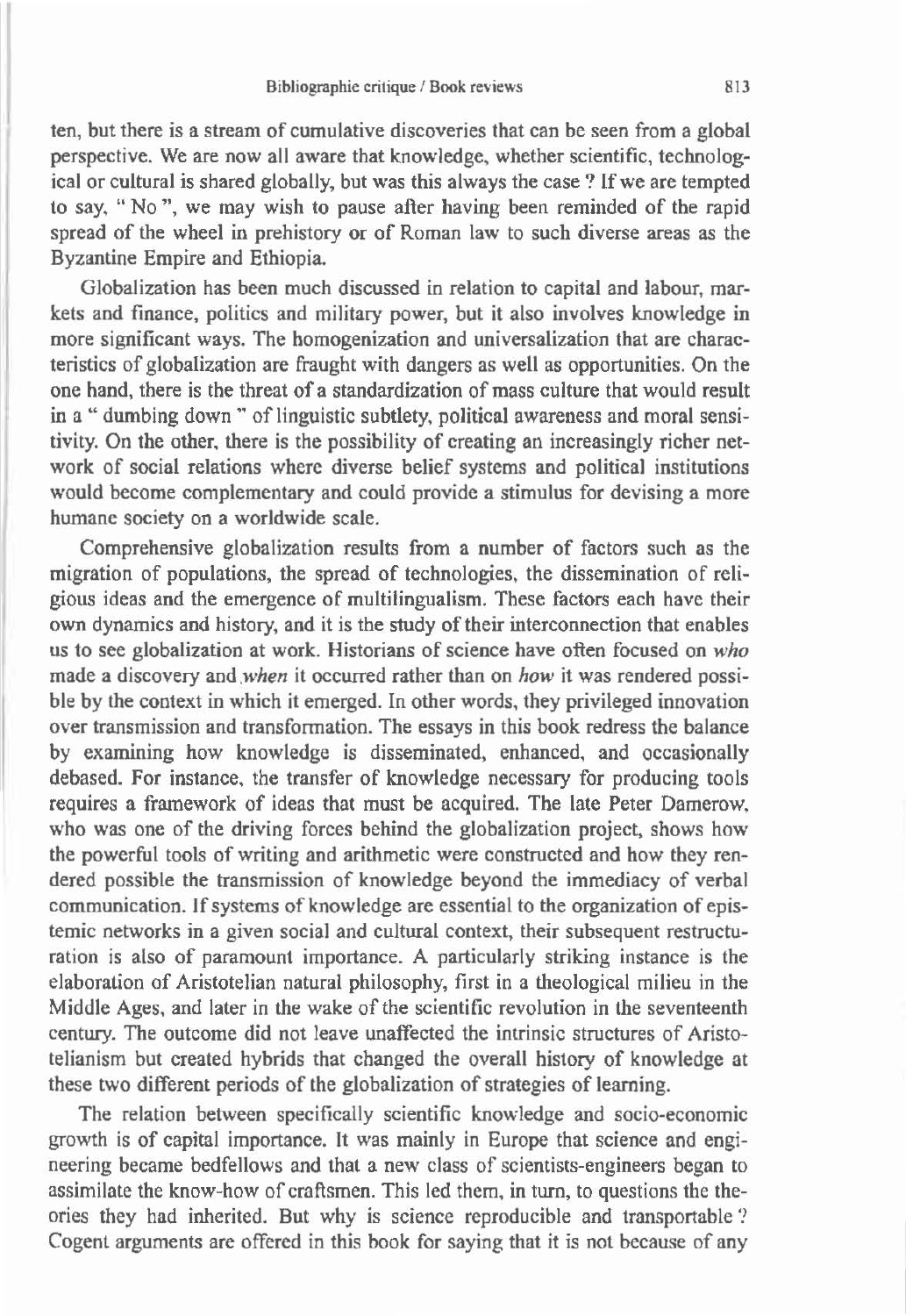ten, but there is a stream of cumulative discoveries that can be seen from a global perspective. We are now all aware that knowledge, whether scientific, technological or cultural is shared globally, but was this always the case? If we are tempted to say, "No", we may wish to pause after having been reminded of the rapid spread of the wheel in prehistory or of Roman law to such diverse areas as the Byzantine Empire and Ethiopia.

Globalization has been much discussed in relation to capital and labour, markets and finance, politics and military power, but it also involves knowledge in more significant ways. The homogenization and universalization that are characteristics of globalization are fraught with dangers as well as opportunities. On the one hand, there is the threat of a standardization of mass culture that would result in a "dumbing down " of linguistic subtlety, political awareness and moral sensitivity. On the other, there is the possibility of creating an increasingly richer network of social relations where diverse belief systems and political institutions would become complementary and could provide a stimulus for devising a more humane society on a worldwide scale.

Comprehensive globalization results from a number of factors such as the migration of populations, the spread of technologies, the dissemination of religious ideas and the emergence of multilingualism. These factors each have their own dynamics and history, and it is the study of their interconnection that enables us to see globalization at work. Historians of science have often focused on *who*  made a discovery *and .when* it occurred rather than on *how* it was rendered possible by the context in which it emerged. In other words, they privileged innovation over transmission and transformation. The essays in this book redress the balance by examining how knowledge is disseminated, enhanced, and occasionally debased. For instance, the transfer of knowledge necessary for producing tools requires a framework of ideas that must be acquired. The late Peter Damerow, who was one of the driving forces behind the globalization project, shows how the powerful tools of writing and arithmetic were constructed and how they rendered possible the transmission of knowledge beyond the immediacy of verbal communication. If systems of knowledge are essential to the organization of epistemic networks in a given social and cultural context, their subsequent restructuration is also of paramount importance. A particularly striking instance is the elaboration of Aristotelian natural philosophy, first in a theological milieu in the Middle Ages, and later in the wake of the scientific revolution in the seventeenth centwy. The outcome did not leave unaffected the intrinsic structures of Aristotelianism but created hybrids that changed the overall history of knowledge at these two different periods of the globalization of strategies of learning.

The relation between specifically scientific knowledge and socio-economic growth is of capital importance. It was mainly in Europe that science and engineering became bedfellows and that a new class of scientists-engineers began to assimilate the know-how of craftsmen. This led them, in turn, to questions the theories they had inherited. But why is science reproducible and transportable *?* Cogent arguments are offered in this book for saying that it is not because of any